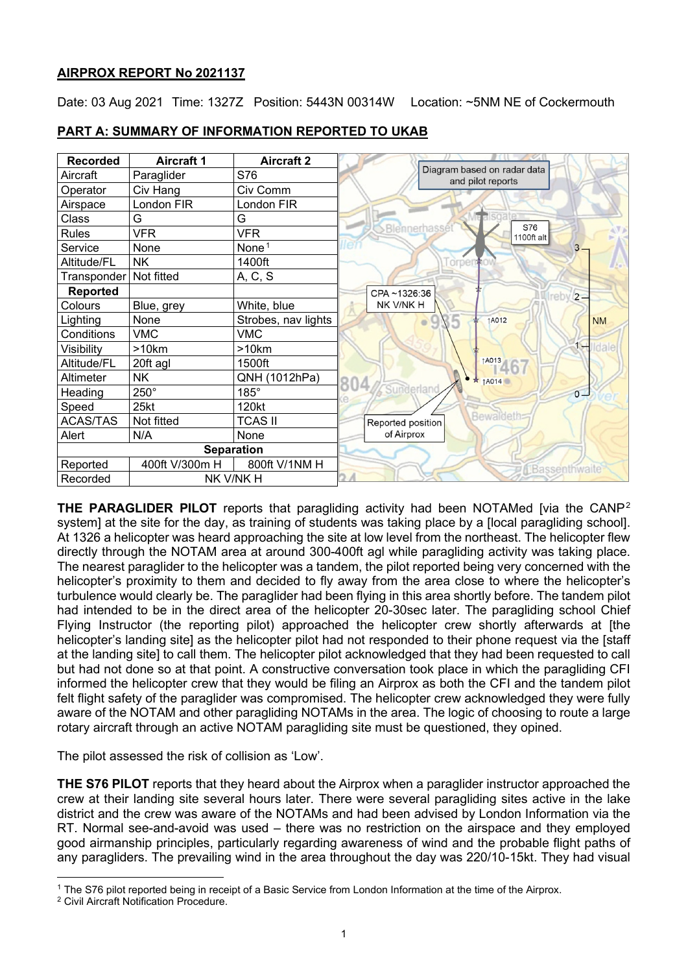# **AIRPROX REPORT No 2021137**

Date: 03 Aug 2021 Time: 1327Z Position: 5443N 00314W Location: ~5NM NE of Cockermouth



## **PART A: SUMMARY OF INFORMATION REPORTED TO UKAB**

**THE PARAGLIDER PILOT** reports that paragliding activity had been NOTAMed [via the CANP[2](#page-0-1) system] at the site for the day, as training of students was taking place by a [local paragliding school]. At 1326 a helicopter was heard approaching the site at low level from the northeast. The helicopter flew directly through the NOTAM area at around 300-400ft agl while paragliding activity was taking place. The nearest paraglider to the helicopter was a tandem, the pilot reported being very concerned with the helicopter's proximity to them and decided to fly away from the area close to where the helicopter's turbulence would clearly be. The paraglider had been flying in this area shortly before. The tandem pilot had intended to be in the direct area of the helicopter 20-30sec later. The paragliding school Chief Flying Instructor (the reporting pilot) approached the helicopter crew shortly afterwards at [the helicopter's landing sitel as the helicopter pilot had not responded to their phone request via the [staff] at the landing site] to call them. The helicopter pilot acknowledged that they had been requested to call but had not done so at that point. A constructive conversation took place in which the paragliding CFI informed the helicopter crew that they would be filing an Airprox as both the CFI and the tandem pilot felt flight safety of the paraglider was compromised. The helicopter crew acknowledged they were fully aware of the NOTAM and other paragliding NOTAMs in the area. The logic of choosing to route a large rotary aircraft through an active NOTAM paragliding site must be questioned, they opined.

The pilot assessed the risk of collision as 'Low'.

**THE S76 PILOT** reports that they heard about the Airprox when a paraglider instructor approached the crew at their landing site several hours later. There were several paragliding sites active in the lake district and the crew was aware of the NOTAMs and had been advised by London Information via the RT. Normal see-and-avoid was used – there was no restriction on the airspace and they employed good airmanship principles, particularly regarding awareness of wind and the probable flight paths of any paragliders. The prevailing wind in the area throughout the day was 220/10-15kt. They had visual

<span id="page-0-0"></span><sup>1</sup> The S76 pilot reported being in receipt of a Basic Service from London Information at the time of the Airprox.

<span id="page-0-1"></span><sup>2</sup> Civil Aircraft Notification Procedure.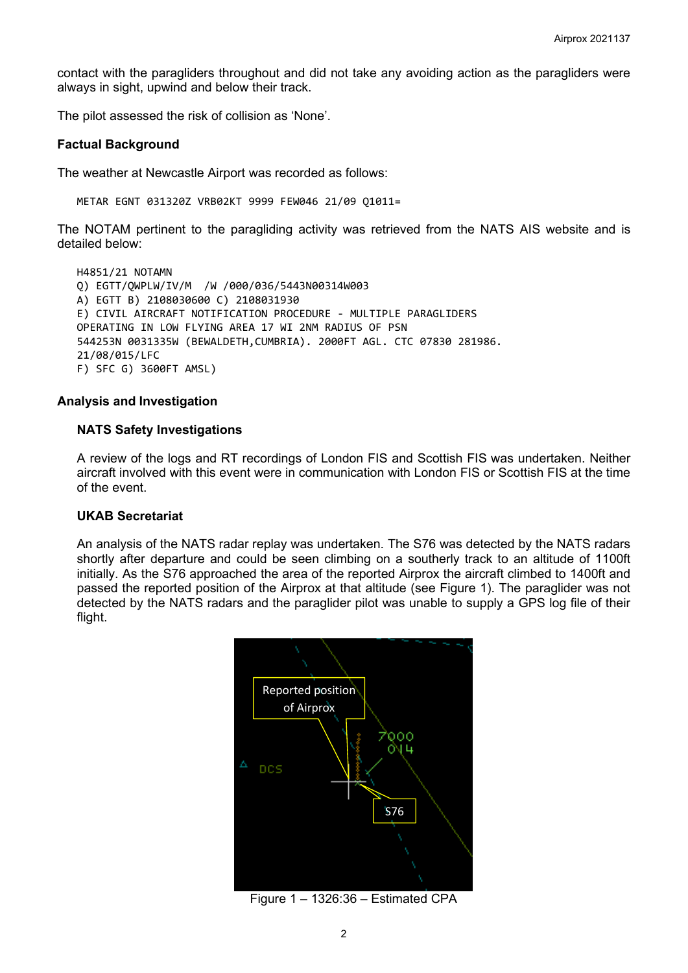contact with the paragliders throughout and did not take any avoiding action as the paragliders were always in sight, upwind and below their track.

The pilot assessed the risk of collision as 'None'.

#### **Factual Background**

The weather at Newcastle Airport was recorded as follows:

METAR EGNT 031320Z VRB02KT 9999 FEW046 21/09 Q1011=

The NOTAM pertinent to the paragliding activity was retrieved from the NATS AIS website and is detailed below:

```
H4851/21 NOTAMN
Q) EGTT/QWPLW/IV/M /W /000/036/5443N00314W003
A) EGTT B) 2108030600 C) 2108031930
E) CIVIL AIRCRAFT NOTIFICATION PROCEDURE - MULTIPLE PARAGLIDERS
OPERATING IN LOW FLYING AREA 17 WI 2NM RADIUS OF PSN 
544253N 0031335W (BEWALDETH,CUMBRIA). 2000FT AGL. CTC 07830 281986. 
21/08/015/LFC
F) SFC G) 3600FT AMSL)
```
#### **Analysis and Investigation**

### **NATS Safety Investigations**

A review of the logs and RT recordings of London FIS and Scottish FIS was undertaken. Neither aircraft involved with this event were in communication with London FIS or Scottish FIS at the time of the event.

#### **UKAB Secretariat**

An analysis of the NATS radar replay was undertaken. The S76 was detected by the NATS radars shortly after departure and could be seen climbing on a southerly track to an altitude of 1100ft initially. As the S76 approached the area of the reported Airprox the aircraft climbed to 1400ft and passed the reported position of the Airprox at that altitude (see Figure 1). The paraglider was not detected by the NATS radars and the paraglider pilot was unable to supply a GPS log file of their flight.



Figure 1 – 1326:36 – Estimated CPA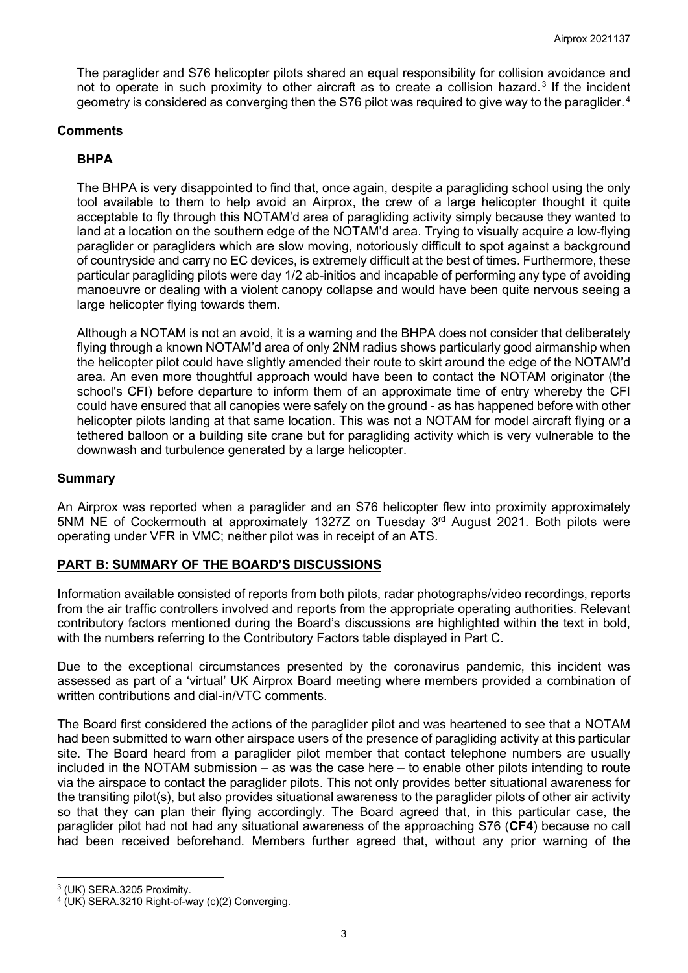The paraglider and S76 helicopter pilots shared an equal responsibility for collision avoidance and not to operate in such proximity to other aircraft as to create a collision hazard.<sup>[3](#page-2-0)</sup> If the incident geometry is considered as converging then the S76 pilot was required to give way to the paraglider.<sup>[4](#page-2-1)</sup>

### **Comments**

# **BHPA**

The BHPA is very disappointed to find that, once again, despite a paragliding school using the only tool available to them to help avoid an Airprox, the crew of a large helicopter thought it quite acceptable to fly through this NOTAM'd area of paragliding activity simply because they wanted to land at a location on the southern edge of the NOTAM'd area. Trying to visually acquire a low-flying paraglider or paragliders which are slow moving, notoriously difficult to spot against a background of countryside and carry no EC devices, is extremely difficult at the best of times. Furthermore, these particular paragliding pilots were day 1/2 ab-initios and incapable of performing any type of avoiding manoeuvre or dealing with a violent canopy collapse and would have been quite nervous seeing a large helicopter flying towards them.

Although a NOTAM is not an avoid, it is a warning and the BHPA does not consider that deliberately flying through a known NOTAM'd area of only 2NM radius shows particularly good airmanship when the helicopter pilot could have slightly amended their route to skirt around the edge of the NOTAM'd area. An even more thoughtful approach would have been to contact the NOTAM originator (the school's CFI) before departure to inform them of an approximate time of entry whereby the CFI could have ensured that all canopies were safely on the ground - as has happened before with other helicopter pilots landing at that same location. This was not a NOTAM for model aircraft flying or a tethered balloon or a building site crane but for paragliding activity which is very vulnerable to the downwash and turbulence generated by a large helicopter.

### **Summary**

An Airprox was reported when a paraglider and an S76 helicopter flew into proximity approximately 5NM NE of Cockermouth at approximately 1327Z on Tuesday 3rd August 2021. Both pilots were operating under VFR in VMC; neither pilot was in receipt of an ATS.

## **PART B: SUMMARY OF THE BOARD'S DISCUSSIONS**

Information available consisted of reports from both pilots, radar photographs/video recordings, reports from the air traffic controllers involved and reports from the appropriate operating authorities. Relevant contributory factors mentioned during the Board's discussions are highlighted within the text in bold, with the numbers referring to the Contributory Factors table displayed in Part C.

Due to the exceptional circumstances presented by the coronavirus pandemic, this incident was assessed as part of a 'virtual' UK Airprox Board meeting where members provided a combination of written contributions and dial-in/VTC comments.

The Board first considered the actions of the paraglider pilot and was heartened to see that a NOTAM had been submitted to warn other airspace users of the presence of paragliding activity at this particular site. The Board heard from a paraglider pilot member that contact telephone numbers are usually included in the NOTAM submission – as was the case here – to enable other pilots intending to route via the airspace to contact the paraglider pilots. This not only provides better situational awareness for the transiting pilot(s), but also provides situational awareness to the paraglider pilots of other air activity so that they can plan their flying accordingly. The Board agreed that, in this particular case, the paraglider pilot had not had any situational awareness of the approaching S76 (**CF4**) because no call had been received beforehand. Members further agreed that, without any prior warning of the

<span id="page-2-0"></span><sup>3</sup> (UK) SERA.3205 Proximity.

<span id="page-2-1"></span><sup>4</sup> (UK) SERA.3210 Right-of-way (c)(2) Converging.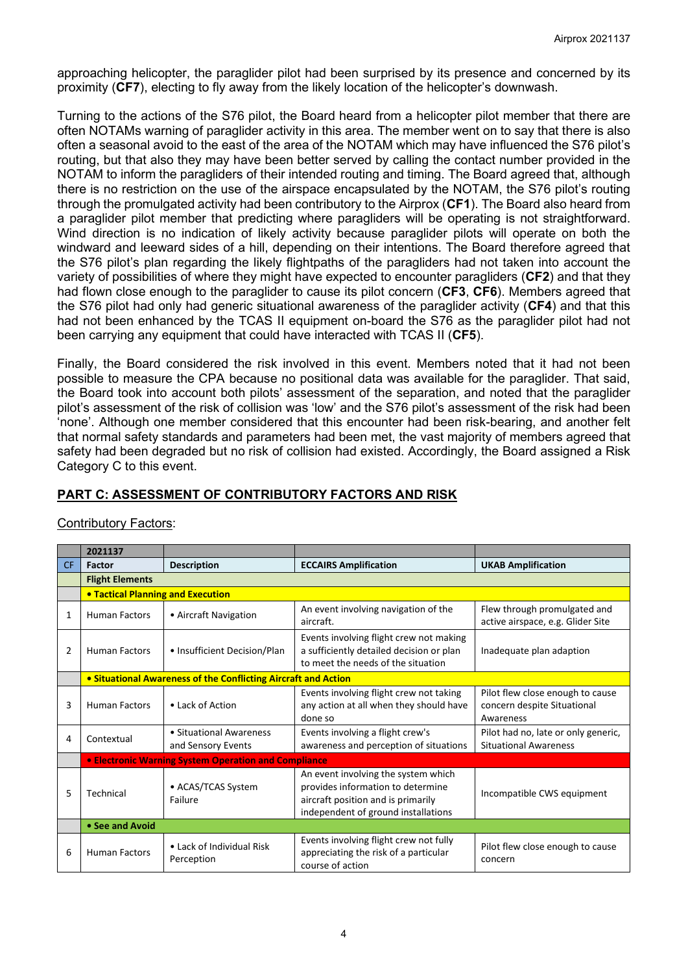approaching helicopter, the paraglider pilot had been surprised by its presence and concerned by its proximity (**CF7**), electing to fly away from the likely location of the helicopter's downwash.

Turning to the actions of the S76 pilot, the Board heard from a helicopter pilot member that there are often NOTAMs warning of paraglider activity in this area. The member went on to say that there is also often a seasonal avoid to the east of the area of the NOTAM which may have influenced the S76 pilot's routing, but that also they may have been better served by calling the contact number provided in the NOTAM to inform the paragliders of their intended routing and timing. The Board agreed that, although there is no restriction on the use of the airspace encapsulated by the NOTAM, the S76 pilot's routing through the promulgated activity had been contributory to the Airprox (**CF1**). The Board also heard from a paraglider pilot member that predicting where paragliders will be operating is not straightforward. Wind direction is no indication of likely activity because paraglider pilots will operate on both the windward and leeward sides of a hill, depending on their intentions. The Board therefore agreed that the S76 pilot's plan regarding the likely flightpaths of the paragliders had not taken into account the variety of possibilities of where they might have expected to encounter paragliders (**CF2**) and that they had flown close enough to the paraglider to cause its pilot concern (**CF3**, **CF6**). Members agreed that the S76 pilot had only had generic situational awareness of the paraglider activity (**CF4**) and that this had not been enhanced by the TCAS II equipment on-board the S76 as the paraglider pilot had not been carrying any equipment that could have interacted with TCAS II (**CF5**).

Finally, the Board considered the risk involved in this event. Members noted that it had not been possible to measure the CPA because no positional data was available for the paraglider. That said, the Board took into account both pilots' assessment of the separation, and noted that the paraglider pilot's assessment of the risk of collision was 'low' and the S76 pilot's assessment of the risk had been 'none'. Although one member considered that this encounter had been risk-bearing, and another felt that normal safety standards and parameters had been met, the vast majority of members agreed that safety had been degraded but no risk of collision had existed. Accordingly, the Board assigned a Risk Category C to this event.

# **PART C: ASSESSMENT OF CONTRIBUTORY FACTORS AND RISK**

|     | 2021137                                                        |                                               |                                                                                                                                                       |                                                                              |  |  |
|-----|----------------------------------------------------------------|-----------------------------------------------|-------------------------------------------------------------------------------------------------------------------------------------------------------|------------------------------------------------------------------------------|--|--|
| CF. | <b>Factor</b>                                                  | <b>Description</b>                            | <b>ECCAIRS Amplification</b>                                                                                                                          | <b>UKAB Amplification</b>                                                    |  |  |
|     | <b>Flight Elements</b>                                         |                                               |                                                                                                                                                       |                                                                              |  |  |
|     | <b>. Tactical Planning and Execution</b>                       |                                               |                                                                                                                                                       |                                                                              |  |  |
| 1   | <b>Human Factors</b>                                           | • Aircraft Navigation                         | An event involving navigation of the<br>aircraft.                                                                                                     | Flew through promulgated and<br>active airspace, e.g. Glider Site            |  |  |
| 2   | <b>Human Factors</b>                                           | • Insufficient Decision/Plan                  | Events involving flight crew not making<br>a sufficiently detailed decision or plan<br>to meet the needs of the situation                             | Inadequate plan adaption                                                     |  |  |
|     | • Situational Awareness of the Conflicting Aircraft and Action |                                               |                                                                                                                                                       |                                                                              |  |  |
| 3   | <b>Human Factors</b>                                           | • Lack of Action                              | Events involving flight crew not taking<br>any action at all when they should have<br>done so                                                         | Pilot flew close enough to cause<br>concern despite Situational<br>Awareness |  |  |
| 4   | Contextual                                                     | • Situational Awareness<br>and Sensory Events | Events involving a flight crew's<br>awareness and perception of situations                                                                            | Pilot had no, late or only generic,<br><b>Situational Awareness</b>          |  |  |
|     | • Electronic Warning System Operation and Compliance           |                                               |                                                                                                                                                       |                                                                              |  |  |
| 5   | Technical                                                      | • ACAS/TCAS System<br>Failure                 | An event involving the system which<br>provides information to determine<br>aircraft position and is primarily<br>independent of ground installations | Incompatible CWS equipment                                                   |  |  |
|     | • See and Avoid                                                |                                               |                                                                                                                                                       |                                                                              |  |  |
| 6   | <b>Human Factors</b>                                           | • Lack of Individual Risk<br>Perception       | Events involving flight crew not fully<br>appreciating the risk of a particular<br>course of action                                                   | Pilot flew close enough to cause<br>concern                                  |  |  |

## Contributory Factors: